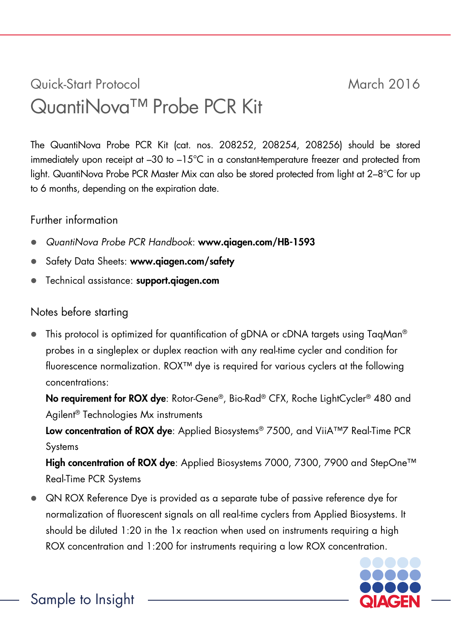## Quick-Start Protocol March 2016 QuantiNova™ Probe PCR Kit

The QuantiNova Probe PCR Kit (cat. nos. 208252, 208254, 208256) should be stored immediately upon receipt at –30 to –15°C in a constant-temperature freezer and protected from light. QuantiNova Probe PCR Master Mix can also be stored protected from light at 2–8°C for up to 6 months, depending on the expiration date.

## Further information

- *QuantiNova Probe PCR Handbook*: www.qiagen.com/HB-1593
- Safety Data Sheets: www.qiagen.com/safety
- **•** Technical assistance: support.giagen.com

## Notes before starting

This protocol is optimized for quantification of gDNA or cDNA targets using TagMan® probes in a singleplex or duplex reaction with any real-time cycler and condition for fluorescence normalization. ROX™ dye is required for various cyclers at the following concentrations:

No requirement for ROX dye: Rotor-Gene®, Bio-Rad® CFX, Roche LightCycler® 480 and Agilent® Technologies Mx instruments

Low concentration of ROX dye: Applied Biosystems® 7500, and ViiA™7 Real-Time PCR **Systems** 

High concentration of ROX dve: Applied Biosystems 7000, 7300, 7900 and StepOne™ Real-Time PCR Systems

 QN ROX Reference Dye is provided as a separate tube of passive reference dye for normalization of fluorescent signals on all real-time cyclers from Applied Biosystems. It should be diluted 1:20 in the 1x reaction when used on instruments requiring a high ROX concentration and 1:200 for instruments requiring a low ROX concentration.

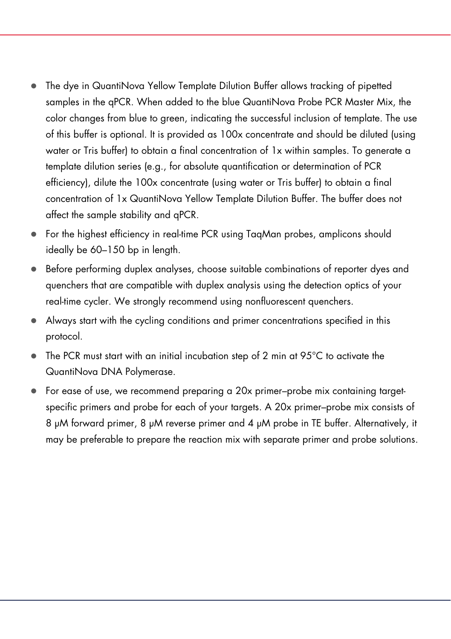- The dye in QuantiNova Yellow Template Dilution Buffer allows tracking of pipetted samples in the qPCR. When added to the blue QuantiNova Probe PCR Master Mix, the color changes from blue to green, indicating the successful inclusion of template. The use of this buffer is optional. It is provided as 100x concentrate and should be diluted (using water or Tris buffer) to obtain a final concentration of 1x within samples. To generate a template dilution series (e.g., for absolute quantification or determination of PCR efficiency), dilute the 100x concentrate (using water or Tris buffer) to obtain a final concentration of 1x QuantiNova Yellow Template Dilution Buffer. The buffer does not affect the sample stability and qPCR.
- For the highest efficiency in real-time PCR using TaqMan probes, amplicons should ideally be 60–150 bp in length.
- Before performing duplex analyses, choose suitable combinations of reporter dyes and quenchers that are compatible with duplex analysis using the detection optics of your real-time cycler. We strongly recommend using nonfluorescent quenchers.
- Always start with the cycling conditions and primer concentrations specified in this protocol.
- The PCR must start with an initial incubation step of 2 min at 95°C to activate the QuantiNova DNA Polymerase.
- For ease of use, we recommend preparing a 20x primer–probe mix containing targetspecific primers and probe for each of your targets. A 20x primer–probe mix consists of 8 µM forward primer, 8 µM reverse primer and 4 µM probe in TE buffer. Alternatively, it may be preferable to prepare the reaction mix with separate primer and probe solutions.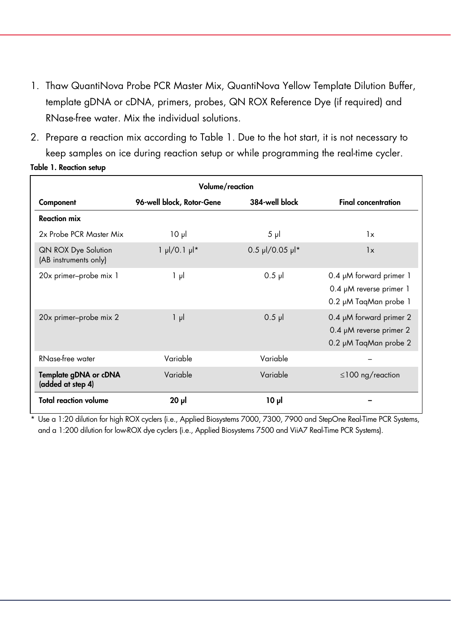- 1. Thaw QuantiNova Probe PCR Master Mix, QuantiNova Yellow Template Dilution Buffer, template gDNA or cDNA, primers, probes, QN ROX Reference Dye (if required) and RNase-free water. Mix the individual solutions.
- 2. Prepare a reaction mix according to Table 1. Due to the hot start, it is not necessary to keep samples on ice during reaction setup or while programming the real-time cycler.

| Table 1. Reaction setup |  |
|-------------------------|--|
|                         |  |

| Volume/reaction                              |                                 |                   |                                                                                  |  |  |
|----------------------------------------------|---------------------------------|-------------------|----------------------------------------------------------------------------------|--|--|
| Component                                    | 96-well block, Rotor-Gene       | 384-well block    | <b>Final concentration</b>                                                       |  |  |
| <b>Reaction mix</b>                          |                                 |                   |                                                                                  |  |  |
| 2x Probe PCR Master Mix                      | $10 \mu$                        | $5 \mu$           | 1x                                                                               |  |  |
| QN ROX Dye Solution<br>(AB instruments only) | $1 \mu$ /0.1 $\mu$ <sup>*</sup> | $0.5$ µl/0.05 µl* | 1x                                                                               |  |  |
| 20x primer-probe mix 1                       | $1 \mu$                         | $0.5$ pl          | 0.4 µM forward primer 1<br>0.4 µM reverse primer 1<br>0.2 µM TagMan probe 1      |  |  |
| 20x primer-probe mix 2                       | $1 \mu$                         | $0.5$ pl          | 0.4 µM forward primer 2<br>0.4 $\mu$ M reverse primer 2<br>0.2 µM TaqMan probe 2 |  |  |
| RNase-free water                             | Variable                        | Variable          |                                                                                  |  |  |
| Template gDNA or cDNA<br>(added at step 4)   | Variable                        | Variable          | $\leq$ 100 ng/reaction                                                           |  |  |
| <b>Total reaction volume</b>                 | $20$ $\mu$                      | 10 <sub>µ</sub>   |                                                                                  |  |  |

\* Use a 1:20 dilution for high ROX cyclers (i.e., Applied Biosystems 7000, 7300, 7900 and StepOne Real-Time PCR Systems, and a 1:200 dilution for low-ROX dye cyclers (i.e., Applied Biosystems 7500 and ViiA7 Real-Time PCR Systems).